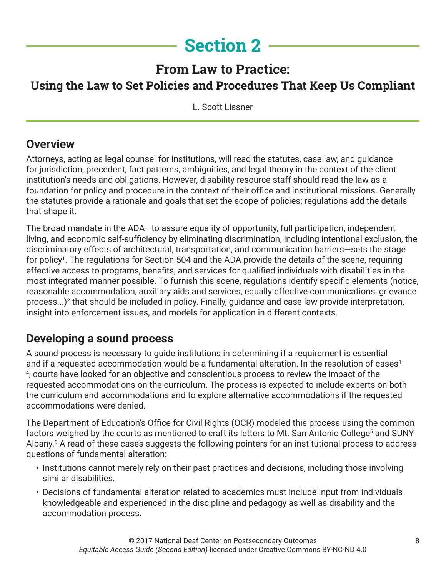# **Section 2**

# **From Law to Practice: Using the Law to Set Policies and Procedures That Keep Us Compliant**

L. Scott Lissner

## **Overview**

Attorneys, acting as legal counsel for institutions, will read the statutes, case law, and guidance for jurisdiction, precedent, fact patterns, ambiguities, and legal theory in the context of the client institution's needs and obligations. However, disability resource staff should read the law as a foundation for policy and procedure in the context of their office and institutional missions. Generally the statutes provide a rationale and goals that set the scope of policies; regulations add the details that shape it.

The broad mandate in the ADA—to assure equality of opportunity, full participation, independent living, and economic self-sufficiency by eliminating discrimination, including intentional exclusion, the discriminatory effects of architectural, transportation, and communication barriers—sets the stage for policy<sup>1</sup>. The regulations for Section 504 and the ADA provide the details of the scene, requiring effective access to programs, benefits, and services for qualified individuals with disabilities in the most integrated manner possible. To furnish this scene, regulations identify specific elements (notice, reasonable accommodation, auxiliary aids and services, equally effective communications, grievance process...)<sup>2</sup> that should be included in policy. Finally, guidance and case law provide interpretation, insight into enforcement issues, and models for application in different contexts.

## **Developing a sound process**

A sound process is necessary to guide institutions in determining if a requirement is essential and if a requested accommodation would be a fundamental alteration. In the resolution of cases<sup>3</sup> 4 , courts have looked for an objective and conscientious process to review the impact of the requested accommodations on the curriculum. The process is expected to include experts on both the curriculum and accommodations and to explore alternative accommodations if the requested accommodations were denied.

The Department of Education's Office for Civil Rights (OCR) modeled this process using the common factors weighed by the courts as mentioned to craft its letters to Mt. San Antonio College<sup>5</sup> and SUNY Albany.<sup>6</sup> A read of these cases suggests the following pointers for an institutional process to address questions of fundamental alteration:

- Institutions cannot merely rely on their past practices and decisions, including those involving similar disabilities.
- Decisions of fundamental alteration related to academics must include input from individuals knowledgeable and experienced in the discipline and pedagogy as well as disability and the accommodation process.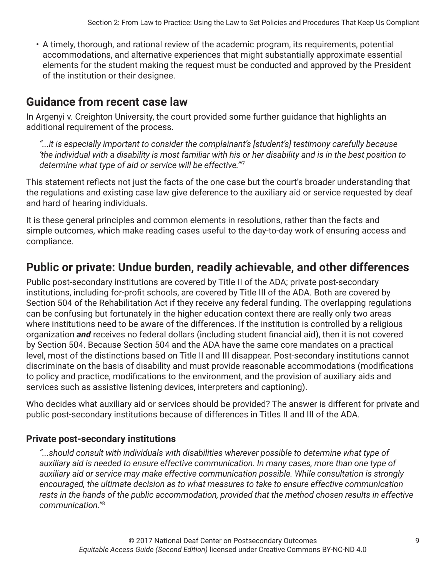• A timely, thorough, and rational review of the academic program, its requirements, potential accommodations, and alternative experiences that might substantially approximate essential elements for the student making the request must be conducted and approved by the President of the institution or their designee.

## **Guidance from recent case law**

In Argenyi v. Creighton University, the court provided some further guidance that highlights an additional requirement of the process.

*"...it is especially important to consider the complainant's [student's] testimony carefully because 'the individual with a disability is most familiar with his or her disability and is in the best position to determine what type of aid or service will be effective.'"*<sup>7</sup>

This statement reflects not just the facts of the one case but the court's broader understanding that the regulations and existing case law give deference to the auxiliary aid or service requested by deaf and hard of hearing individuals.

It is these general principles and common elements in resolutions, rather than the facts and simple outcomes, which make reading cases useful to the day-to-day work of ensuring access and compliance.

## **Public or private: Undue burden, readily achievable, and other differences**

Public post-secondary institutions are covered by Title II of the ADA; private post-secondary institutions, including for-profit schools, are covered by Title III of the ADA. Both are covered by Section 504 of the Rehabilitation Act if they receive any federal funding. The overlapping regulations can be confusing but fortunately in the higher education context there are really only two areas where institutions need to be aware of the differences. If the institution is controlled by a religious organization *and* receives no federal dollars (including student financial aid), then it is not covered by Section 504. Because Section 504 and the ADA have the same core mandates on a practical level, most of the distinctions based on Title II and III disappear. Post-secondary institutions cannot discriminate on the basis of disability and must provide reasonable accommodations (modifications to policy and practice, modifications to the environment, and the provision of auxiliary aids and services such as assistive listening devices, interpreters and captioning).

Who decides what auxiliary aid or services should be provided? The answer is different for private and public post-secondary institutions because of differences in Titles II and III of the ADA.

#### **Private post-secondary institutions**

*"...should consult with individuals with disabilities wherever possible to determine what type of auxiliary aid is needed to ensure effective communication. In many cases, more than one type of auxiliary aid or service may make effective communication possible. While consultation is strongly encouraged, the ultimate decision as to what measures to take to ensure effective communication rests in the hands of the public accommodation, provided that the method chosen results in effective communication."*8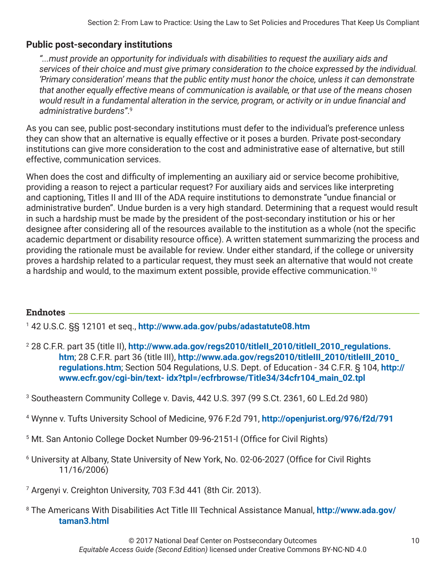#### **Public post-secondary institutions**

*"...must provide an opportunity for individuals with disabilities to request the auxiliary aids and services of their choice and must give primary consideration to the choice expressed by the individual. 'Primary consideration' means that the public entity must honor the choice, unless it can demonstrate that another equally effective means of communication is available, or that use of the means chosen would result in a fundamental alteration in the service, program, or activity or in undue financial and administrative burdens"*. 9

As you can see, public post-secondary institutions must defer to the individual's preference unless they can show that an alternative is equally effective or it poses a burden. Private post-secondary institutions can give more consideration to the cost and administrative ease of alternative, but still effective, communication services.

When does the cost and difficulty of implementing an auxiliary aid or service become prohibitive, providing a reason to reject a particular request? For auxiliary aids and services like interpreting and captioning, Titles II and III of the ADA require institutions to demonstrate "undue financial or administrative burden". Undue burden is a very high standard. Determining that a request would result in such a hardship must be made by the president of the post-secondary institution or his or her designee after considering all of the resources available to the institution as a whole (not the specific academic department or disability resource office). A written statement summarizing the process and providing the rationale must be available for review. Under either standard, if the college or university proves a hardship related to a particular request, they must seek an alternative that would not create a hardship and would, to the maximum extent possible, provide effective communication.<sup>10</sup>

#### **Endnotes**

1 42 U.S.C. §§ 12101 et seq., **<http://www.ada.gov/pubs/adastatute08.htm>**

- 2 28 C.F.R. part 35 (title II), **[http://www.ada.gov/regs2010/titleII\\_2010/titleII\\_2010\\_regulations.](http://www.ada.gov/regs2010/titleII_2010/titleII_2010_regulations.htm ; 28 C.F.R. part 36 (title III)) [htm](http://www.ada.gov/regs2010/titleII_2010/titleII_2010_regulations.htm ; 28 C.F.R. part 36 (title III))**; 28 C.F.R. part 36 (title III), **[http://www.ada.gov/regs2010/titleIII\\_2010/titleIII\\_2010\\_](http://www.ada.gov/regs2010/titleIII_2010/titleIII_2010_regulations.htm) [regulations.htm](http://www.ada.gov/regs2010/titleIII_2010/titleIII_2010_regulations.htm)**; Section 504 Regulations, U.S. Dept. of Education - 34 C.F.R. § 104, **[http://](http://www.ecfr.gov/cgi-bin/text- idx?tpl=/ecfrbrowse/Title34/34cfr104_main_02.tpl) [www.ecfr.gov/cgi-bin/text- idx?tpl=/ecfrbrowse/Title34/34cfr104\\_main\\_02.tpl](http://www.ecfr.gov/cgi-bin/text- idx?tpl=/ecfrbrowse/Title34/34cfr104_main_02.tpl)**
- 3 Southeastern Community College v. Davis, 442 U.S. 397 (99 S.Ct. 2361, 60 L.Ed.2d 980)
- 4 Wynne v. Tufts University School of Medicine, 976 F.2d 791, **<http://openjurist.org/976/f2d/791>**
- 5 Mt. San Antonio College Docket Number 09-96-2151-I (Office for Civil Rights)
- 6 University at Albany, State University of New York, No. 02-06-2027 (Office for Civil Rights 11/16/2006)
- 7 Argenyi v. Creighton University, 703 F.3d 441 (8th Cir. 2013).
- 8 The Americans With Disabilities Act Title III Technical Assistance Manual, **[http://www.ada.gov/](http://www.ada.gov/taman3.html) [taman3.html](http://www.ada.gov/taman3.html)**